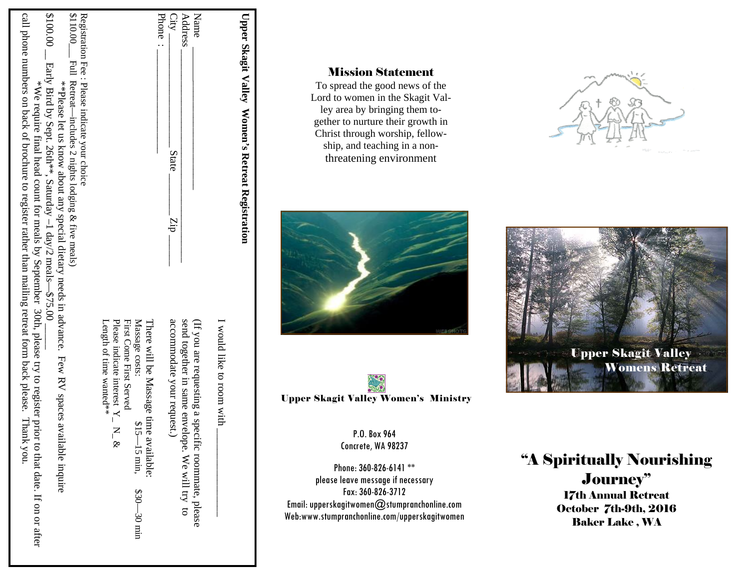| \$100.00<br>Registration Fee : Please indicate your choice<br>\$110.00___ Full Retreat—includes 2 nights l<br>call phone numbers on back of brochure<br>Early Bird by Sept.<br>**Please<br>$*$ We require<br>-includes 2 nights lodging & five meals)<br>let us<br>26th**<br>know                                                          |                                                                                                                                                           | Name<br>Phone<br>City<br>Address<br>State                                                                                                                            | <b>Upper Skagit Valley</b><br>Women's             | <b>Mission Statement</b><br>To spread the good news of the<br>Lord to women in the Skagit Val-<br>ley area by bringing them to-<br>gether to nurture their growth in<br>Christ through worship, fellow-<br>ship, and teaching in a non-<br>threatening environment    |                                                                                                                                                                                     |
|--------------------------------------------------------------------------------------------------------------------------------------------------------------------------------------------------------------------------------------------------------------------------------------------------------------------------------------------|-----------------------------------------------------------------------------------------------------------------------------------------------------------|----------------------------------------------------------------------------------------------------------------------------------------------------------------------|---------------------------------------------------|-----------------------------------------------------------------------------------------------------------------------------------------------------------------------------------------------------------------------------------------------------------------------|-------------------------------------------------------------------------------------------------------------------------------------------------------------------------------------|
| final head count for meals by September<br>about any special dietary<br>Saturday<br>to register rather than mailing retreat form back please.<br>1 day/2 meals<br>needs in advance.<br>375<br>30th, please try to register prior to that date.<br>Ż<br>Few RV spaces<br>Thank you.<br>$\mathbf 2$<br>vailable<br>inquire<br>If on or after | Massage costs:<br>Please indicate interest<br>First Come First Served<br>Length of time wanted**<br>$\mathbf{z}$<br>$\mathscr{E}$<br>$630 -$<br>$-30$ min | drz<br>accommodate your reques<br>send together in same env<br>(If you are requesting a specific<br>೮<br>elope.<br>roommate, please<br>We will try<br>$\overline{c}$ | Retreat Registration<br>I would like to room with | <b>Upper Skagit Valley Women's Ministry</b><br>P.O. Box 964<br>Concrete, WA 98237<br>Phone: 360-826-6141**<br>please leave message if necessary<br>Fax: 360-826-3712<br>Email: upperskagitwomen@stumpranchonline.com<br>Web:www.stumpranchonline.com/upperskagitwomen | <b>Upper Skagit Valley</b><br><b>Womens Retreat</b><br>"A Spiritually Nourishing<br>Journey"<br><b>17th Annual Retreat</b><br><b>October 7th-9th, 2016</b><br><b>Baker Lake, WA</b> |

# Mission Statement







# Journey"